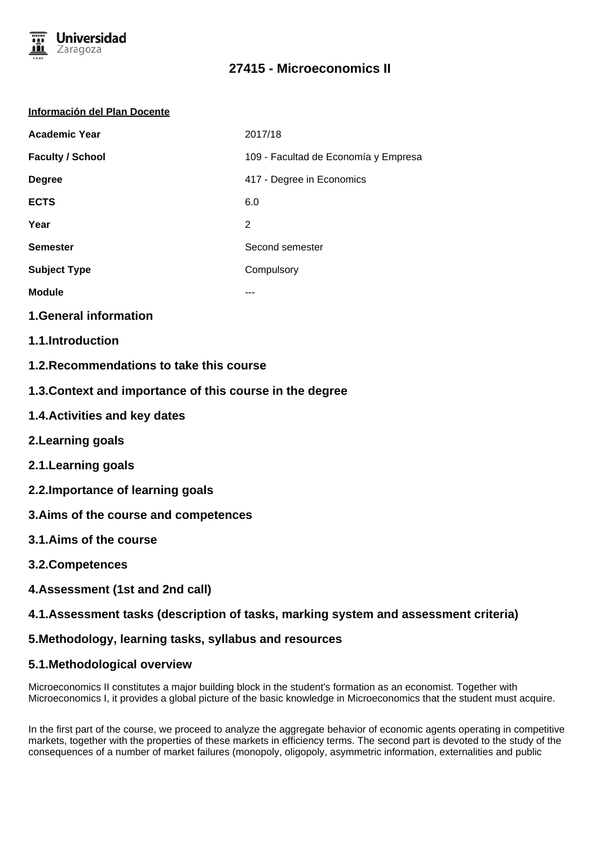

### **Información del Plan Docente**

| <b>Academic Year</b>    | 2017/18                              |  |
|-------------------------|--------------------------------------|--|
| <b>Faculty / School</b> | 109 - Facultad de Economía y Empresa |  |
| <b>Degree</b>           | 417 - Degree in Economics            |  |
| <b>ECTS</b>             | 6.0                                  |  |
| Year                    | 2                                    |  |
| <b>Semester</b>         | Second semester                      |  |
| <b>Subject Type</b>     | Compulsory                           |  |
| <b>Module</b>           |                                      |  |
|                         |                                      |  |

## **1.General information**

- **1.1.Introduction**
- **1.2.Recommendations to take this course**
- **1.3.Context and importance of this course in the degree**
- **1.4.Activities and key dates**
- **2.Learning goals**
- **2.1.Learning goals**
- **2.2.Importance of learning goals**
- **3.Aims of the course and competences**
- **3.1.Aims of the course**
- **3.2.Competences**
- **4.Assessment (1st and 2nd call)**

## **4.1.Assessment tasks (description of tasks, marking system and assessment criteria)**

## **5.Methodology, learning tasks, syllabus and resources**

## **5.1.Methodological overview**

Microeconomics II constitutes a major building block in the student's formation as an economist. Together with Microeconomics I, it provides a global picture of the basic knowledge in Microeconomics that the student must acquire.

In the first part of the course, we proceed to analyze the aggregate behavior of economic agents operating in competitive markets, together with the properties of these markets in efficiency terms. The second part is devoted to the study of the consequences of a number of market failures (monopoly, oligopoly, asymmetric information, externalities and public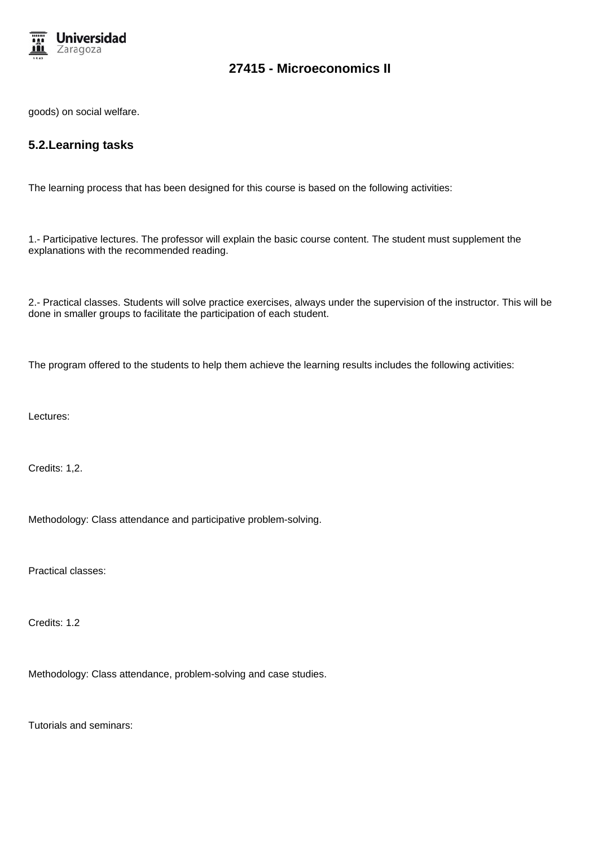

goods) on social welfare.

## **5.2.Learning tasks**

The learning process that has been designed for this course is based on the following activities:

1.- Participative lectures. The professor will explain the basic course content. The student must supplement the explanations with the recommended reading.

2.- Practical classes. Students will solve practice exercises, always under the supervision of the instructor. This will be done in smaller groups to facilitate the participation of each student.

The program offered to the students to help them achieve the learning results includes the following activities:

Lectures:

Credits: 1,2.

Methodology: Class attendance and participative problem-solving.

Practical classes:

Credits: 1.2

Methodology: Class attendance, problem-solving and case studies.

Tutorials and seminars: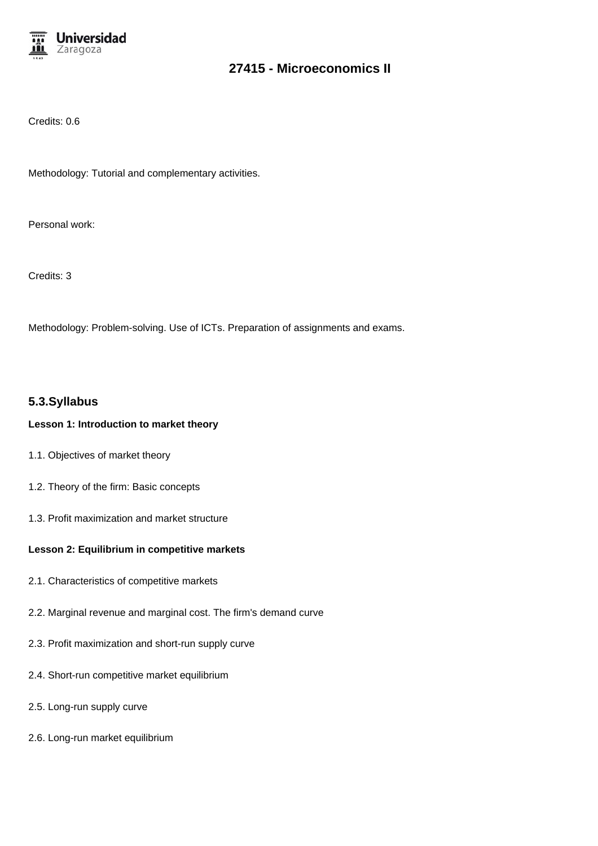

Credits: 0.6

Methodology: Tutorial and complementary activities.

Personal work:

Credits: 3

Methodology: Problem-solving. Use of ICTs. Preparation of assignments and exams.

## **5.3.Syllabus**

### **Lesson 1: Introduction to market theory**

- 1.1. Objectives of market theory
- 1.2. Theory of the firm: Basic concepts
- 1.3. Profit maximization and market structure

### **Lesson 2: Equilibrium in competitive markets**

- 2.1. Characteristics of competitive markets
- 2.2. Marginal revenue and marginal cost. The firm's demand curve
- 2.3. Profit maximization and short-run supply curve
- 2.4. Short-run competitive market equilibrium
- 2.5. Long-run supply curve
- 2.6. Long-run market equilibrium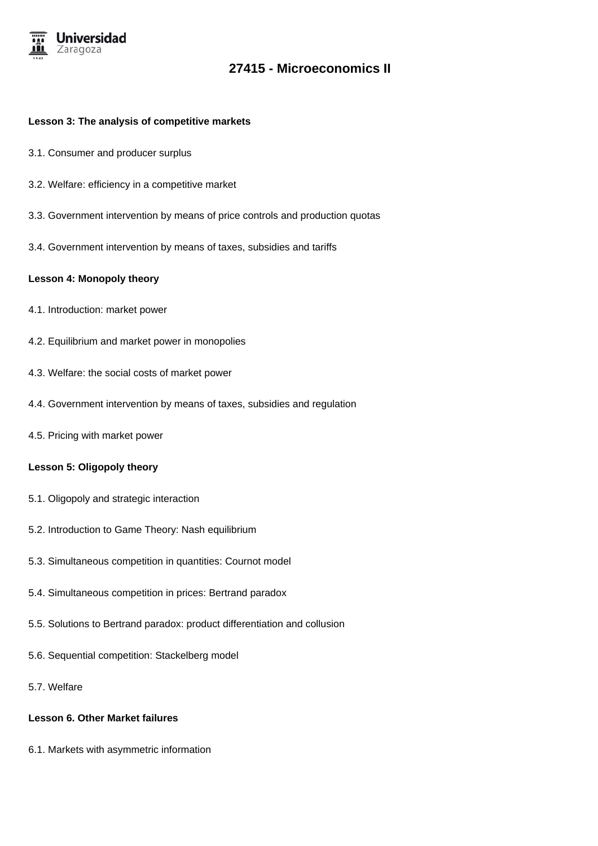

#### **Lesson 3: The analysis of competitive markets**

- 3.1. Consumer and producer surplus
- 3.2. Welfare: efficiency in a competitive market
- 3.3. Government intervention by means of price controls and production quotas
- 3.4. Government intervention by means of taxes, subsidies and tariffs

#### **Lesson 4: Monopoly theory**

- 4.1. Introduction: market power
- 4.2. Equilibrium and market power in monopolies
- 4.3. Welfare: the social costs of market power
- 4.4. Government intervention by means of taxes, subsidies and regulation
- 4.5. Pricing with market power

#### **Lesson 5: Oligopoly theory**

- 5.1. Oligopoly and strategic interaction
- 5.2. Introduction to Game Theory: Nash equilibrium
- 5.3. Simultaneous competition in quantities: Cournot model
- 5.4. Simultaneous competition in prices: Bertrand paradox
- 5.5. Solutions to Bertrand paradox: product differentiation and collusion
- 5.6. Sequential competition: Stackelberg model
- 5.7. Welfare

### **Lesson 6. Other Market failures**

6.1. Markets with asymmetric information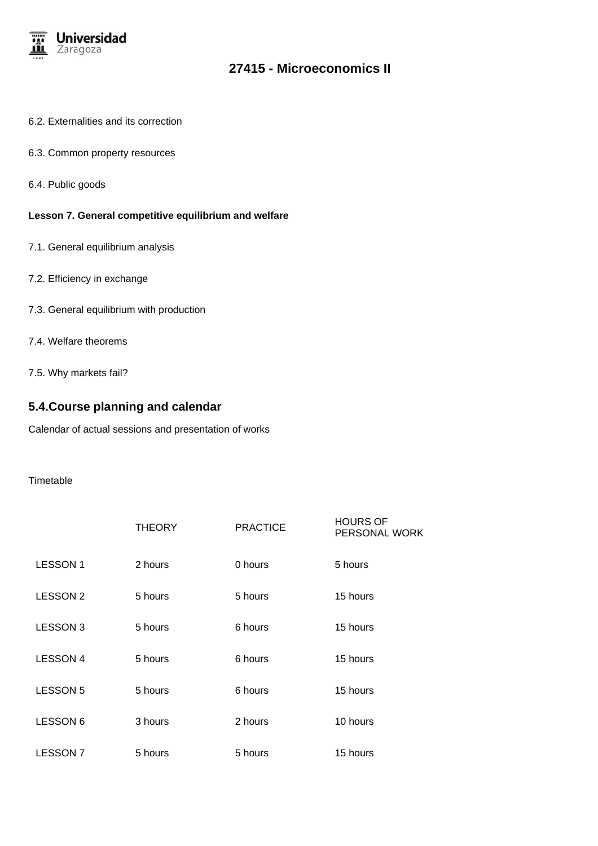

- 6.2. Externalities and its correction
- 6.3. Common property resources
- 6.4. Public goods

### **Lesson 7. General competitive equilibrium and welfare**

- 7.1. General equilibrium analysis
- 7.2. Efficiency in exchange
- 7.3. General equilibrium with production
- 7.4. Welfare theorems
- 7.5. Why markets fail?

## **5.4.Course planning and calendar**

Calendar of actual sessions and presentation of works

## **Timetable**

|                 | <b>THEORY</b> | <b>PRACTICE</b> | <b>HOURS OF</b><br>PERSONAL WORK |
|-----------------|---------------|-----------------|----------------------------------|
| <b>LESSON1</b>  | 2 hours       | 0 hours         | 5 hours                          |
| LESSON 2        | 5 hours       | 5 hours         | 15 hours                         |
| LESSON 3        | 5 hours       | 6 hours         | 15 hours                         |
| <b>LESSON 4</b> | 5 hours       | 6 hours         | 15 hours                         |
| <b>LESSON 5</b> | 5 hours       | 6 hours         | 15 hours                         |
| LESSON 6        | 3 hours       | 2 hours         | 10 hours                         |
| <b>LESSON7</b>  | 5 hours       | 5 hours         | 15 hours                         |